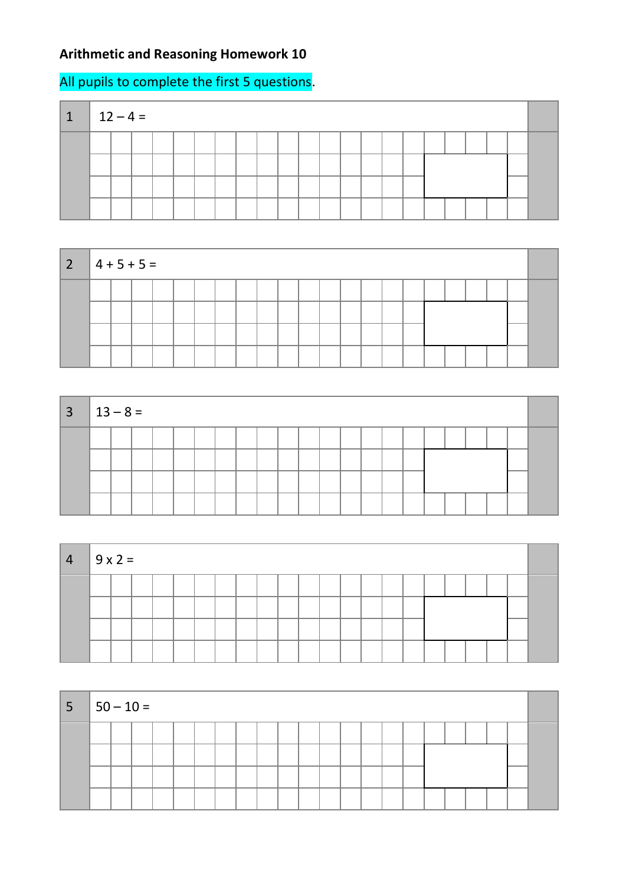## **Arithmetic and Reasoning Homework 10**

## All pupils to complete the first 5 questions.

| 1 | $12 - 4 =$ |  |  |  |  |  |  |  |  |  |  |
|---|------------|--|--|--|--|--|--|--|--|--|--|
|   |            |  |  |  |  |  |  |  |  |  |  |
|   |            |  |  |  |  |  |  |  |  |  |  |
|   |            |  |  |  |  |  |  |  |  |  |  |
|   |            |  |  |  |  |  |  |  |  |  |  |



| $3 \mid 13 - 8 =$ |  |  |  |  |  |  |  |  |  |  |  |
|-------------------|--|--|--|--|--|--|--|--|--|--|--|
|                   |  |  |  |  |  |  |  |  |  |  |  |
|                   |  |  |  |  |  |  |  |  |  |  |  |
|                   |  |  |  |  |  |  |  |  |  |  |  |

| $\overline{4}$ | $9x2=$ |  |  |  |  |  |  |  |  |  |  |
|----------------|--------|--|--|--|--|--|--|--|--|--|--|
|                |        |  |  |  |  |  |  |  |  |  |  |
|                |        |  |  |  |  |  |  |  |  |  |  |
|                |        |  |  |  |  |  |  |  |  |  |  |
|                |        |  |  |  |  |  |  |  |  |  |  |

| $ 5 $ $ 50 - 10 =$ |  |  |  |  |  |  |  |  |  |  |  |
|--------------------|--|--|--|--|--|--|--|--|--|--|--|
|                    |  |  |  |  |  |  |  |  |  |  |  |
|                    |  |  |  |  |  |  |  |  |  |  |  |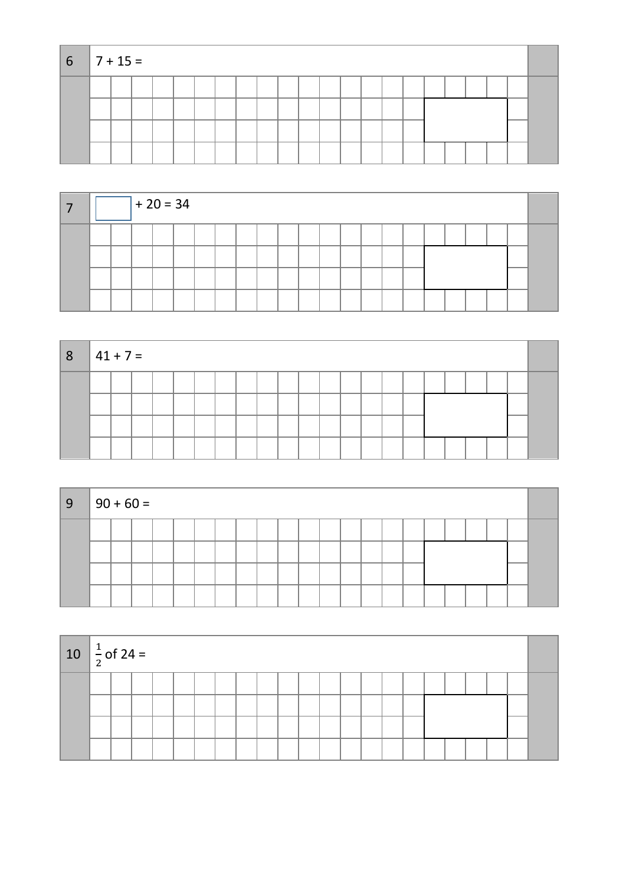| $6 \mid 7 + 15 =$ |  |  |  |  |  |  |  |  |  |  |      |  |
|-------------------|--|--|--|--|--|--|--|--|--|--|------|--|
|                   |  |  |  |  |  |  |  |  |  |  |      |  |
|                   |  |  |  |  |  |  |  |  |  |  |      |  |
|                   |  |  |  |  |  |  |  |  |  |  | ---- |  |
|                   |  |  |  |  |  |  |  |  |  |  |      |  |

|  |  | $+20 = 34$ |  |  |  |  |  |  |  |  |  |
|--|--|------------|--|--|--|--|--|--|--|--|--|
|  |  |            |  |  |  |  |  |  |  |  |  |
|  |  |            |  |  |  |  |  |  |  |  |  |
|  |  |            |  |  |  |  |  |  |  |  |  |
|  |  |            |  |  |  |  |  |  |  |  |  |

| 8 | $ 41 + 7 =$ |  |  |  |  |  |  |  |  |  |  |  |
|---|-------------|--|--|--|--|--|--|--|--|--|--|--|
|   |             |  |  |  |  |  |  |  |  |  |  |  |
|   |             |  |  |  |  |  |  |  |  |  |  |  |
|   |             |  |  |  |  |  |  |  |  |  |  |  |
|   |             |  |  |  |  |  |  |  |  |  |  |  |

| ∣9 | $ 90 + 60 =$ |  |  |  |  |  |  |  |  |  |  |  |
|----|--------------|--|--|--|--|--|--|--|--|--|--|--|
|    |              |  |  |  |  |  |  |  |  |  |  |  |

| 10 $\frac{1}{2}$ of 24 = |  |  |  |  |  |  |  |  |  |  |  |
|--------------------------|--|--|--|--|--|--|--|--|--|--|--|
|                          |  |  |  |  |  |  |  |  |  |  |  |
|                          |  |  |  |  |  |  |  |  |  |  |  |
|                          |  |  |  |  |  |  |  |  |  |  |  |
|                          |  |  |  |  |  |  |  |  |  |  |  |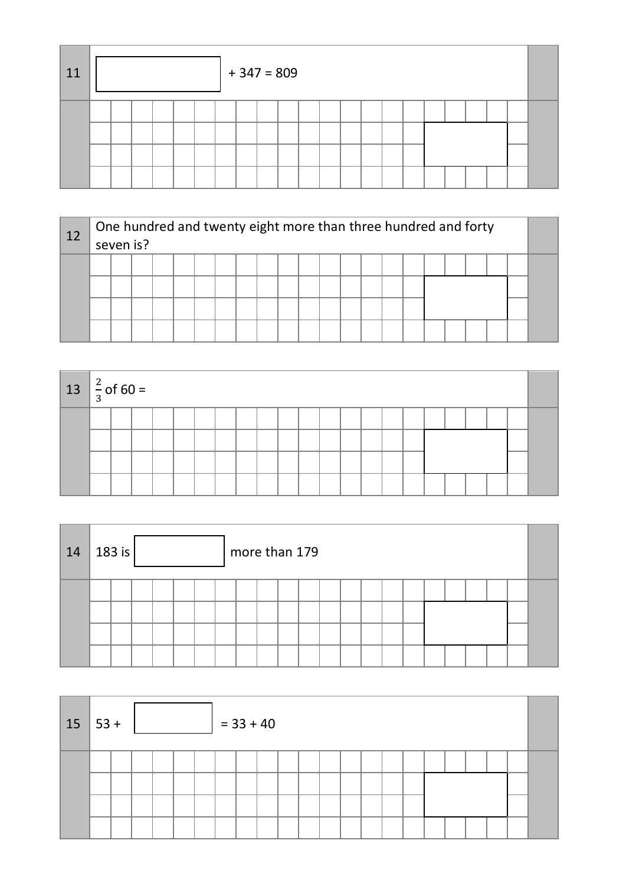| 11 |  |  |  | $+347=809$ |  |  |  |  |  |  |  |
|----|--|--|--|------------|--|--|--|--|--|--|--|
|    |  |  |  |            |  |  |  |  |  |  |  |

| 12 | One hundred and twenty eight more than three hundred and forty<br>seven is? |  |  |  |  |  |  |  |  |  |  |  |  |  |  |  |  |  |  |
|----|-----------------------------------------------------------------------------|--|--|--|--|--|--|--|--|--|--|--|--|--|--|--|--|--|--|
|    |                                                                             |  |  |  |  |  |  |  |  |  |  |  |  |  |  |  |  |  |  |
|    |                                                                             |  |  |  |  |  |  |  |  |  |  |  |  |  |  |  |  |  |  |

| $13 \left  \frac{2}{3} \right.$ of 60 = |  |  |  |  |  |  |  |  |  |  |  |
|-----------------------------------------|--|--|--|--|--|--|--|--|--|--|--|
|                                         |  |  |  |  |  |  |  |  |  |  |  |
|                                         |  |  |  |  |  |  |  |  |  |  |  |
|                                         |  |  |  |  |  |  |  |  |  |  |  |
|                                         |  |  |  |  |  |  |  |  |  |  |  |

| 14 | 183 is $ $ |  |  | more than 179 |  |  |  |  |  |  |  |  |  |  |  |  |  |  |
|----|------------|--|--|---------------|--|--|--|--|--|--|--|--|--|--|--|--|--|--|
|    |            |  |  |               |  |  |  |  |  |  |  |  |  |  |  |  |  |  |

| $15 53+$ |  |  |  | $= 33 + 40$ |  |  |  |  |  |  |  |
|----------|--|--|--|-------------|--|--|--|--|--|--|--|
|          |  |  |  |             |  |  |  |  |  |  |  |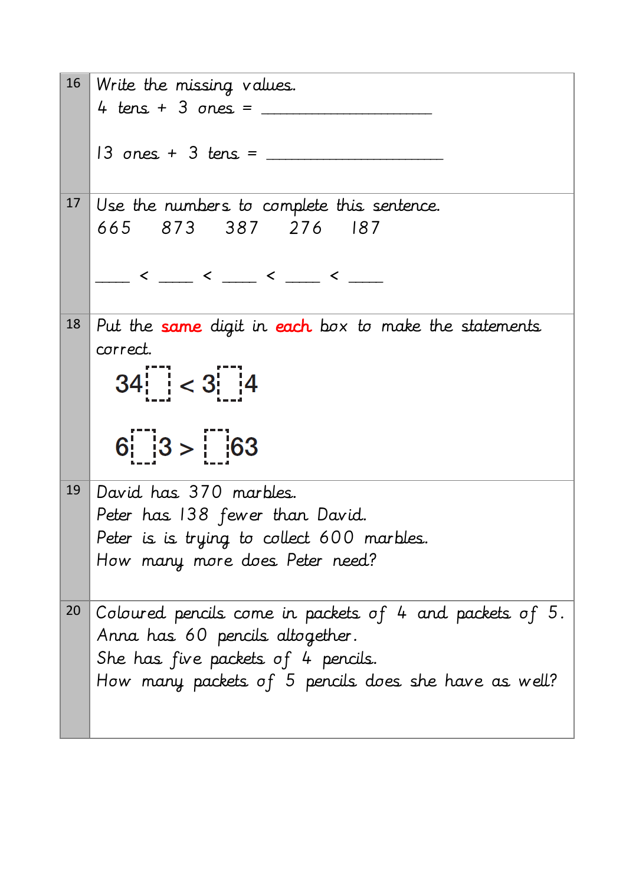|                 | 16 Write the missing values.                                                                                                                                                                                                                                                                                                                                                                                                                                                                     |
|-----------------|--------------------------------------------------------------------------------------------------------------------------------------------------------------------------------------------------------------------------------------------------------------------------------------------------------------------------------------------------------------------------------------------------------------------------------------------------------------------------------------------------|
|                 | 4 tens + 3 ones = $\frac{1}{1}$                                                                                                                                                                                                                                                                                                                                                                                                                                                                  |
|                 | $13$ ones + 3 tens = $\_\_$                                                                                                                                                                                                                                                                                                                                                                                                                                                                      |
| 17 <sup>2</sup> | Use the numbers to complete this sentence.                                                                                                                                                                                                                                                                                                                                                                                                                                                       |
|                 | 665 873 387 276 187                                                                                                                                                                                                                                                                                                                                                                                                                                                                              |
|                 |                                                                                                                                                                                                                                                                                                                                                                                                                                                                                                  |
|                 | $\leftarrow$ $\leftarrow$ $\leftarrow$ $\leftarrow$ $\leftarrow$ $\leftarrow$ $\leftarrow$ $\leftarrow$ $\leftarrow$ $\leftarrow$ $\leftarrow$ $\leftarrow$ $\leftarrow$ $\leftarrow$ $\leftarrow$ $\leftarrow$ $\leftarrow$ $\leftarrow$ $\leftarrow$ $\leftarrow$ $\leftarrow$ $\leftarrow$ $\leftarrow$ $\leftarrow$ $\leftarrow$ $\leftarrow$ $\leftarrow$ $\leftarrow$ $\leftarrow$ $\leftarrow$ $\leftarrow$ $\leftarrow$ $\leftarrow$ $\leftarrow$ $\leftarrow$ $\leftarrow$ $\leftarrow$ |
|                 |                                                                                                                                                                                                                                                                                                                                                                                                                                                                                                  |
| 18              | Put the same digit in each box to make the statements                                                                                                                                                                                                                                                                                                                                                                                                                                            |
|                 | correct.                                                                                                                                                                                                                                                                                                                                                                                                                                                                                         |
|                 | $34$ $  < 3$ $  4$                                                                                                                                                                                                                                                                                                                                                                                                                                                                               |
|                 |                                                                                                                                                                                                                                                                                                                                                                                                                                                                                                  |
|                 |                                                                                                                                                                                                                                                                                                                                                                                                                                                                                                  |
|                 | $6:  3> $  63                                                                                                                                                                                                                                                                                                                                                                                                                                                                                    |
|                 |                                                                                                                                                                                                                                                                                                                                                                                                                                                                                                  |
|                 | 19 David has 370 marbles.                                                                                                                                                                                                                                                                                                                                                                                                                                                                        |
|                 | Peter has 138 fewer than David.                                                                                                                                                                                                                                                                                                                                                                                                                                                                  |
|                 | Peter is is trying to collect 600 marbles.<br>How many more does Peter need?                                                                                                                                                                                                                                                                                                                                                                                                                     |
|                 |                                                                                                                                                                                                                                                                                                                                                                                                                                                                                                  |
| 20              | Coloured pencils come in packets of 4 and packets of 5.                                                                                                                                                                                                                                                                                                                                                                                                                                          |
|                 | Anna has 60 pencils altogether.                                                                                                                                                                                                                                                                                                                                                                                                                                                                  |
|                 | She has five packets of 4 pencils.                                                                                                                                                                                                                                                                                                                                                                                                                                                               |
|                 | How many packets of 5 pencils does she have as well?                                                                                                                                                                                                                                                                                                                                                                                                                                             |
|                 |                                                                                                                                                                                                                                                                                                                                                                                                                                                                                                  |
|                 |                                                                                                                                                                                                                                                                                                                                                                                                                                                                                                  |